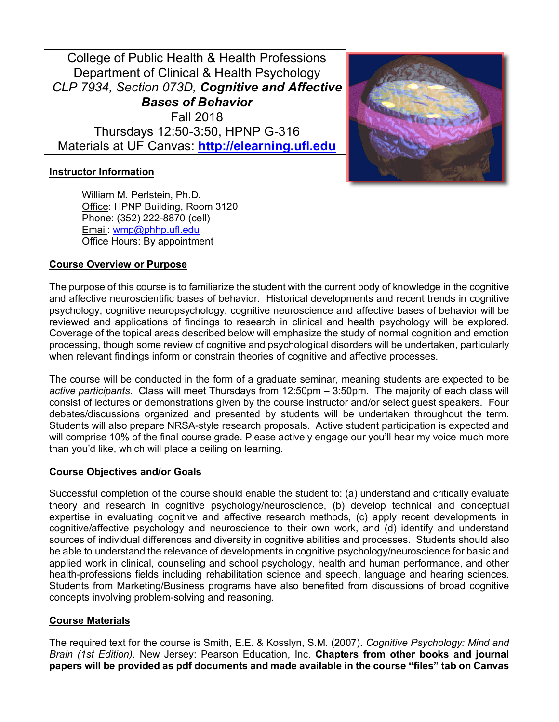College of Public Health & Health Professions Department of Clinical & Health Psychology *CLP 7934, Section 073D, Cognitive and Affective Bases of Behavior* Fall 2018 Thursdays 12:50-3:50, HPNP G-316 Materials at UF Canvas: **http://elearning.ufl.edu**



# **Instructor Information**

William M. Perlstein, Ph.D. Office: HPNP Building, Room 3120 Phone: (352) 222-8870 (cell) Email: wmp@phhp.ufl.edu Office Hours: By appointment

### **Course Overview or Purpose**

The purpose of this course is to familiarize the student with the current body of knowledge in the cognitive and affective neuroscientific bases of behavior. Historical developments and recent trends in cognitive psychology, cognitive neuropsychology, cognitive neuroscience and affective bases of behavior will be reviewed and applications of findings to research in clinical and health psychology will be explored. Coverage of the topical areas described below will emphasize the study of normal cognition and emotion processing, though some review of cognitive and psychological disorders will be undertaken, particularly when relevant findings inform or constrain theories of cognitive and affective processes.

The course will be conducted in the form of a graduate seminar, meaning students are expected to be *active participants*. Class will meet Thursdays from 12:50pm – 3:50pm. The majority of each class will consist of lectures or demonstrations given by the course instructor and/or select guest speakers. Four debates/discussions organized and presented by students will be undertaken throughout the term. Students will also prepare NRSA-style research proposals. Active student participation is expected and will comprise 10% of the final course grade. Please actively engage our you'll hear my voice much more than you'd like, which will place a ceiling on learning.

### **Course Objectives and/or Goals**

Successful completion of the course should enable the student to: (a) understand and critically evaluate theory and research in cognitive psychology/neuroscience, (b) develop technical and conceptual expertise in evaluating cognitive and affective research methods, (c) apply recent developments in cognitive/affective psychology and neuroscience to their own work, and (d) identify and understand sources of individual differences and diversity in cognitive abilities and processes. Students should also be able to understand the relevance of developments in cognitive psychology/neuroscience for basic and applied work in clinical, counseling and school psychology, health and human performance, and other health-professions fields including rehabilitation science and speech, language and hearing sciences. Students from Marketing/Business programs have also benefited from discussions of broad cognitive concepts involving problem-solving and reasoning.

### **Course Materials**

The required text for the course is Smith, E.E. & Kosslyn, S.M. (2007). *Cognitive Psychology: Mind and Brain (1st Edition)*. New Jersey: Pearson Education, Inc. **Chapters from other books and journal papers will be provided as pdf documents and made available in the course "files" tab on Canvas**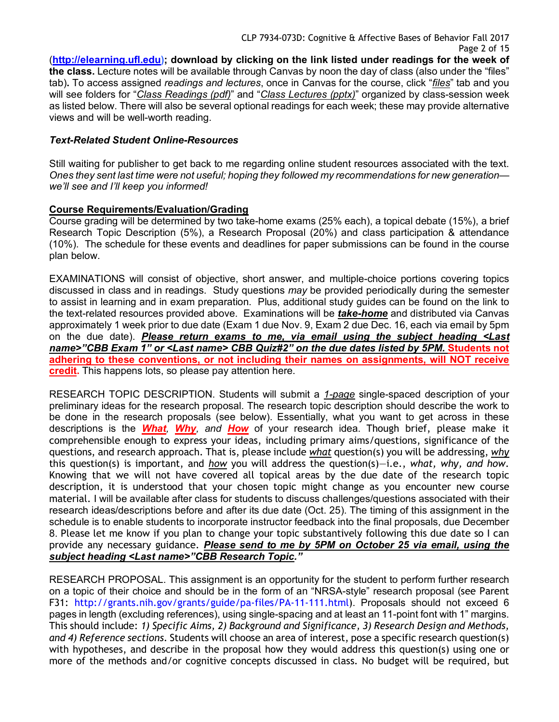(**http://elearning.ufl.edu); download by clicking on the link listed under readings for the week of the class.** Lecture notes will be available through Canvas by noon the day of class (also under the "files" tab)**.** To access assigned *readings and lectures*, once in Canvas for the course, click "*files*" tab and you will see folders for "*Class Readings (pdf)*" and "*Class Lectures (pptx)*" organized by class-session week as listed below. There will also be several optional readings for each week; these may provide alternative views and will be well-worth reading.

### *Text-Related Student Online-Resources*

Still waiting for publisher to get back to me regarding online student resources associated with the text. *Ones they sent last time were not useful; hoping they followed my recommendations for new generation we'll see and I'll keep you informed!*

#### **Course Requirements/Evaluation/Grading**

Course grading will be determined by two take-home exams (25% each), a topical debate (15%), a brief Research Topic Description (5%), a Research Proposal (20%) and class participation & attendance (10%). The schedule for these events and deadlines for paper submissions can be found in the course plan below.

EXAMINATIONS will consist of objective, short answer, and multiple-choice portions covering topics discussed in class and in readings. Study questions *may* be provided periodically during the semester to assist in learning and in exam preparation. Plus, additional study guides can be found on the link to the text-related resources provided above. Examinations will be *take-home* and distributed via Canvas approximately 1 week prior to due date (Exam 1 due Nov. 9, Exam 2 due Dec. 16, each via email by 5pm on the due date). *Please return exams to me, via email using the subject heading <Last name>"CBB Exam 1" or <Last name> CBB Quiz#2" on the due dates listed by 5PM.* **Students not adhering to these conventions, or not including their names on assignments, will NOT receive credit.** This happens lots, so please pay attention here.

RESEARCH TOPIC DESCRIPTION. Students will submit a *1-page* single-spaced description of your preliminary ideas for the research proposal. The research topic description should describe the work to be done in the research proposals (see below). Essentially, what you want to get across in these descriptions is the *What, Why, and How* of your research idea. Though brief, please make it comprehensible enough to express your ideas, including primary aims/questions, significance of the questions, and research approach. That is, please include *what* question(s) you will be addressing, *why* this question(s) is important, and *how* you will address the question(s)—i.e., *what, why, and how*. Knowing that we will not have covered all topical areas by the due date of the research topic description, it is understood that your chosen topic might change as you encounter new course material. I will be available after class for students to discuss challenges/questions associated with their research ideas/descriptions before and after its due date (Oct. 25). The timing of this assignment in the schedule is to enable students to incorporate instructor feedback into the final proposals, due December 8. Please let me know if you plan to change your topic substantively following this due date so I can provide any necessary guidance. *Please send to me by 5PM on October 25 via email, using the subject heading <Last name>"CBB Research Topic."*

RESEARCH PROPOSAL. This assignment is an opportunity for the student to perform further research on a topic of their choice and should be in the form of an "NRSA-style" research proposal (see Parent F31: http://grants.nih.gov/grants/guide/pa-files/PA-11-111.html). Proposals should not exceed 6 pages in length (excluding references), using single-spacing and at least an 11-point font with 1" margins. This should include: *1) Specific Aims, 2) Background and Significance, 3) Research Design and Methods, and 4) Reference sections*. Students will choose an area of interest, pose a specific research question(s) with hypotheses, and describe in the proposal how they would address this question(s) using one or more of the methods and/or cognitive concepts discussed in class. No budget will be required, but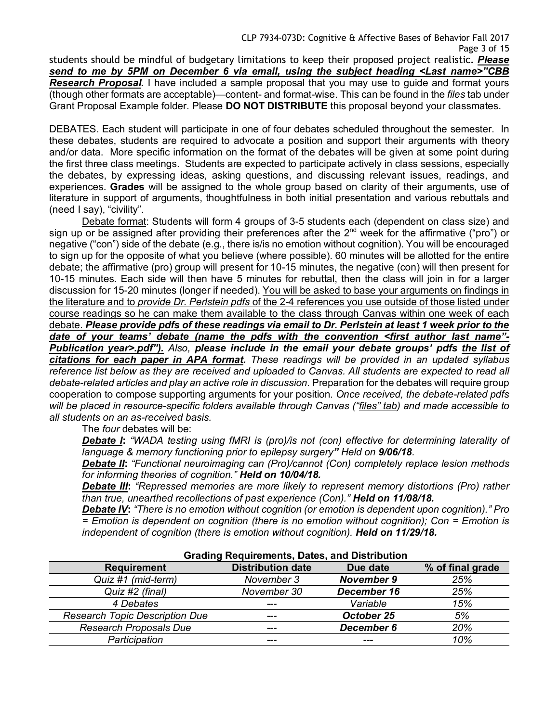students should be mindful of budgetary limitations to keep their proposed project realistic. *Please send to me by 5PM on December 6 via email, using the subject heading <Last name>"CBB Research Proposal.* I have included a sample proposal that you may use to guide and format yours (though other formats are acceptable)—content- and format-wise. This can be found in the *files* tab under Grant Proposal Example folder. Please **DO NOT DISTRIBUTE** this proposal beyond your classmates.

DEBATES. Each student will participate in one of four debates scheduled throughout the semester. In these debates, students are required to advocate a position and support their arguments with theory and/or data. More specific information on the format of the debates will be given at some point during the first three class meetings. Students are expected to participate actively in class sessions, especially the debates, by expressing ideas, asking questions, and discussing relevant issues, readings, and experiences. **Grades** will be assigned to the whole group based on clarity of their arguments, use of literature in support of arguments, thoughtfulness in both initial presentation and various rebuttals and (need I say), "civility".

Debate format: Students will form 4 groups of 3-5 students each (dependent on class size) and sign up or be assigned after providing their preferences after the  $2^{nd}$  week for the affirmative ("pro") or negative ("con") side of the debate (e.g., there is/is no emotion without cognition). You will be encouraged to sign up for the opposite of what you believe (where possible). 60 minutes will be allotted for the entire debate; the affirmative (pro) group will present for 10-15 minutes, the negative (con) will then present for 10-15 minutes. Each side will then have 5 minutes for rebuttal, then the class will join in for a larger discussion for 15-20 minutes (longer if needed). You will be asked to base your arguments on findings in the literature and to *provide Dr. Perlstein pdfs* of the 2-4 references you use outside of those listed under course readings so he can make them available to the class through Canvas within one week of each debate. *Please provide pdfs of these readings via email to Dr. Perlstein at least 1 week prior to the date of your teams' debate (name the pdfs with the convention <first author last name"- Publication year>.pdf"). Also, please include in the email your debate groups' pdfs the list of citations for each paper in APA format. These readings will be provided in an updated syllabus reference list below as they are received and uploaded to Canvas. All students are expected to read all debate-related articles and play an active role in discussion.* Preparation for the debates will require group cooperation to compose supporting arguments for your position. *Once received, the debate-related pdfs will be placed in resource-specific folders available through Canvas ("files" tab) and made accessible to all students on an as-received basis.*

The *four* debates will be:

*Debate I***:** *"WADA testing using fMRI is (pro)/is not (con) effective for determining laterality of language & memory functioning prior to epilepsy surgery" Held on 9/06/18.*

*Debate II***:** *"Functional neuroimaging can (Pro)/cannot (Con) completely replace lesion methods for informing theories of cognition." Held on 10/04/18.*

*Debate III***:** *"Repressed memories are more likely to represent memory distortions (Pro) rather than true, unearthed recollections of past experience (Con)." Held on 11/08/18.*

*Debate IV***:** *"There is no emotion without cognition (or emotion is dependent upon cognition)." Pro = Emotion is dependent on cognition (there is no emotion without cognition); Con = Emotion is independent of cognition (there is emotion without cognition). Held on 11/29/18.*

| <b>Grading Requirements, Dates, and Distribution</b> |                          |                   |                  |  |
|------------------------------------------------------|--------------------------|-------------------|------------------|--|
| <b>Requirement</b>                                   | <b>Distribution date</b> | Due date          | % of final grade |  |
| Quiz #1 (mid-term)                                   | November 3               | <b>November 9</b> | 25%              |  |
| Quiz #2 (final)                                      | November 30              | December 16       | 25%              |  |
| 4 Debates                                            | ---                      | Variable          | 15%              |  |
| <b>Research Topic Description Due</b>                | $---$                    | October 25        | 5%               |  |
| Research Proposals Due                               | ---                      | December 6        | 20%              |  |
| Participation                                        |                          |                   | 10%              |  |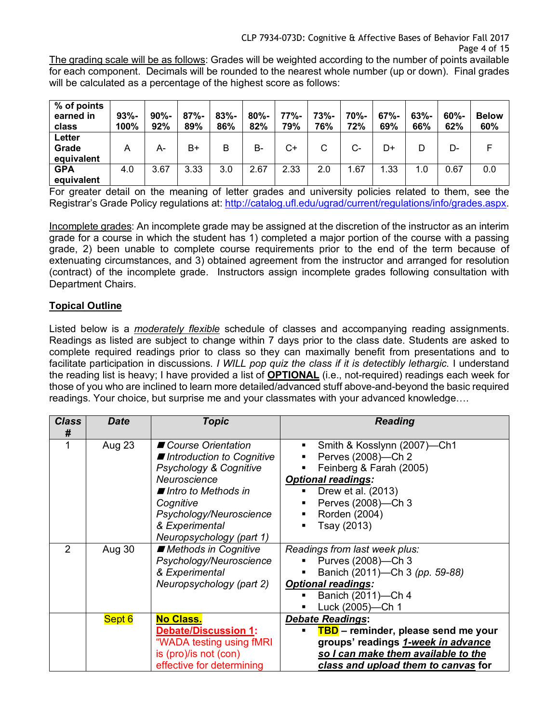CLP 7934-073D: Cognitive & Affective Bases of Behavior Fall 2017 Page 4 of 15

The grading scale will be as follows: Grades will be weighted according to the number of points available for each component. Decimals will be rounded to the nearest whole number (up or down). Final grades will be calculated as a percentage of the highest score as follows:

| % of points<br>earned in<br>class | $93% -$<br>100% | $90% -$<br>92% | $87% -$<br>89% | $83% -$<br>86% | $80% -$<br>82% | 77%-<br>79% | $73% -$<br>76% | 70%-<br>72% | $67% -$<br>69% | $63% -$<br>66% | $60% -$<br>62% | <b>Below</b><br>60% |
|-----------------------------------|-----------------|----------------|----------------|----------------|----------------|-------------|----------------|-------------|----------------|----------------|----------------|---------------------|
| Letter<br>Grade<br>equivalent     | A               | А-             | B+             | B              | B-             | C+          |                | $C-$        | D+             | D              | D-             |                     |
| <b>GPA</b><br>equivalent          | 4.0             | 3.67           | 3.33           | 3.0            | 2.67           | 2.33        | 2.0            | 1.67        | 1.33           | 1.0            | 0.67           | $0.0\,$             |

For greater detail on the meaning of letter grades and university policies related to them, see the Registrar's Grade Policy regulations at: http://catalog.ufl.edu/ugrad/current/regulations/info/grades.aspx.

Incomplete grades: An incomplete grade may be assigned at the discretion of the instructor as an interim grade for a course in which the student has 1) completed a major portion of the course with a passing grade, 2) been unable to complete course requirements prior to the end of the term because of extenuating circumstances, and 3) obtained agreement from the instructor and arranged for resolution (contract) of the incomplete grade. Instructors assign incomplete grades following consultation with Department Chairs.

# **Topical Outline**

Listed below is a *moderately flexible* schedule of classes and accompanying reading assignments. Readings as listed are subject to change within 7 days prior to the class date. Students are asked to complete required readings prior to class so they can maximally benefit from presentations and to facilitate participation in discussions. *I WILL pop quiz the class if it is detectibly lethargic.* I understand the reading list is heavy; I have provided a list of **OPTIONAL** (i.e., not-required) readings each week for those of you who are inclined to learn more detailed/advanced stuff above-and-beyond the basic required readings. Your choice, but surprise me and your classmates with your advanced knowledge….

| <b>Class</b><br># | <b>Date</b> | <b>Topic</b>                                                                                                                                                   | <b>Reading</b>                                                                                                                                                                     |
|-------------------|-------------|----------------------------------------------------------------------------------------------------------------------------------------------------------------|------------------------------------------------------------------------------------------------------------------------------------------------------------------------------------|
|                   | Aug 23      | ■ Course Orientation<br>■ Introduction to Cognitive<br>Psychology & Cognitive<br>Neuroscience<br>■ Intro to Methods in<br>Cognitive<br>Psychology/Neuroscience | Smith & Kosslynn (2007)—Ch1<br>Perves (2008)-Ch 2<br>٠<br>Feinberg & Farah (2005)<br><b>Optional readings:</b><br>Drew et al. (2013)<br>٠<br>Perves (2008)-Ch 3<br>Rorden (2004)   |
|                   |             | & Experimental<br>Neuropsychology (part 1)                                                                                                                     | Tsay (2013)<br>$\blacksquare$                                                                                                                                                      |
| $\overline{2}$    | Aug 30      | ■ Methods in Cognitive<br>Psychology/Neuroscience<br>& Experimental<br>Neuropsychology (part 2)                                                                | Readings from last week plus:<br>Purves (2008)-Ch 3<br>Banich (2011)-Ch 3 (pp. 59-88)<br><b>Optional readings:</b><br>Banich (2011)-Ch 4<br>Luck (2005)-Ch 1                       |
|                   | Sept 6      | <b>No Class.</b><br><b>Debate/Discussion 1:</b><br>"WADA testing using fMRI<br>is (pro)/is not (con)<br>effective for determining                              | <b>Debate Readings:</b><br>TBD - reminder, please send me your<br>groups' readings 1-week in advance<br>so I can make them available to the<br>class and upload them to canvas for |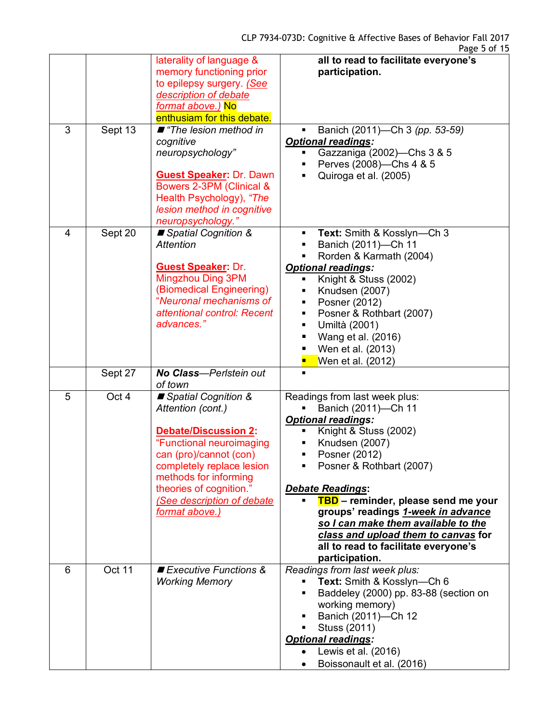|                |           | laterality of language &<br>memory functioning prior<br>to epilepsy surgery. (See<br>description of debate<br>format above.) No<br>enthusiam for this debate.                                                                                                    | all to read to facilitate everyone's<br>participation.                                                                                                                                                                                                                                                                                                                                                                                   |
|----------------|-----------|------------------------------------------------------------------------------------------------------------------------------------------------------------------------------------------------------------------------------------------------------------------|------------------------------------------------------------------------------------------------------------------------------------------------------------------------------------------------------------------------------------------------------------------------------------------------------------------------------------------------------------------------------------------------------------------------------------------|
| 3              | Sept $13$ | ■ "The lesion method in<br>cognitive<br>neuropsychology"<br><b>Guest Speaker: Dr. Dawn</b><br>Bowers 2-3PM (Clinical &<br>Health Psychology), "The<br>lesion method in cognitive<br>neuropsychology."                                                            | Banich (2011)-Ch 3 (pp. 53-59)<br><b>Optional readings:</b><br>Gazzaniga (2002)-Chs 3 & 5<br>Perves (2008)-Chs 4 & 5<br>Quiroga et al. (2005)<br>$\blacksquare$                                                                                                                                                                                                                                                                          |
| $\overline{4}$ | Sept 20   | ■ Spatial Cognition &<br><b>Attention</b><br><b>Guest Speaker: Dr.</b><br>Mingzhou Ding 3PM<br>(Biomedical Engineering)<br>"Neuronal mechanisms of<br>attentional control: Recent<br>advances."                                                                  | Text: Smith & Kosslyn-Ch 3<br>٠<br>Banich (2011)-Ch 11<br>Rorden & Karmath (2004)<br><b>Optional readings:</b><br>Knight & Stuss (2002)<br>٠<br>Knudsen (2007)<br>٠<br>Posner (2012)<br>٠<br>Posner & Rothbart (2007)<br>٠<br>Umiltà (2001)<br>٠<br>Wang et al. (2016)<br>٠<br>Wen et al. (2013)<br>Wen et al. (2012)                                                                                                                    |
|                | Sept 27   | No Class-Perlstein out<br>of town                                                                                                                                                                                                                                |                                                                                                                                                                                                                                                                                                                                                                                                                                          |
| 5              | Oct 4     | ■ Spatial Cognition &<br>Attention (cont.)<br><b>Debate/Discussion 2:</b><br>"Functional neuroimaging<br>can (pro)/cannot (con)<br>completely replace lesion<br>methods for informing<br>theories of cognition."<br>(See description of debate<br>format above.) | Readings from last week plus:<br>Banich (2011)-Ch 11<br><b>Optional readings:</b><br>Knight & Stuss (2002)<br>٠<br>Knudsen (2007)<br>Posner (2012)<br>٠<br>Posner & Rothbart (2007)<br>٠<br><b>Debate Readings:</b><br>TBD - reminder, please send me your<br>groups' readings 1-week in advance<br>so I can make them available to the<br>class and upload them to canvas for<br>all to read to facilitate everyone's<br>participation. |
| 6              | Oct 11    | Executive Functions &<br><b>Working Memory</b>                                                                                                                                                                                                                   | Readings from last week plus:<br>Text: Smith & Kosslyn-Ch 6<br>$\blacksquare$<br>Baddeley (2000) pp. 83-88 (section on<br>٠<br>working memory)<br>Banich (2011)-Ch 12<br>Stuss (2011)<br><b>Optional readings:</b><br>Lewis et al. (2016)<br>Boissonault et al. (2016)                                                                                                                                                                   |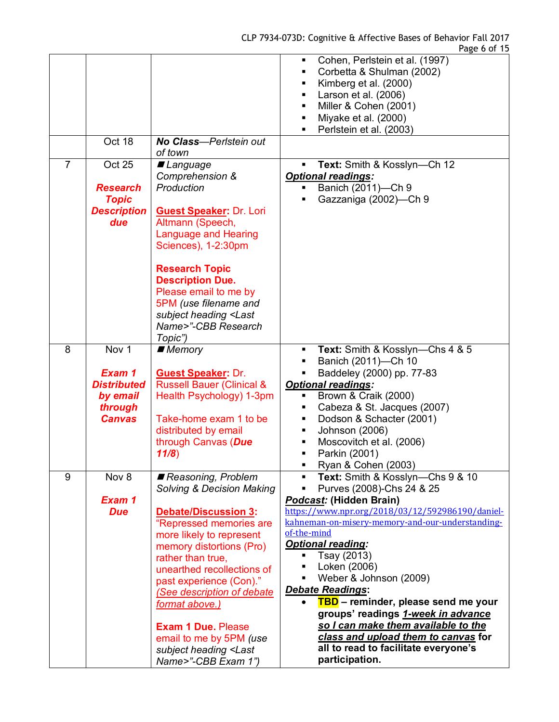|                |                                                                                          |                                                                                                                                                                                                                                                                                                                                                                                                                            | Cohen, Perlstein et al. (1997)<br>٠<br>Corbetta & Shulman (2002)<br>٠<br>Kimberg et al. (2000)<br>٠<br>Larson et al. (2006)<br>٠<br>Miller & Cohen (2001)<br>٠<br>Miyake et al. (2000)<br>٠<br>Perlstein et al. (2003)<br>٠                                                                                                                                                                                                                                                                                                                                               |
|----------------|------------------------------------------------------------------------------------------|----------------------------------------------------------------------------------------------------------------------------------------------------------------------------------------------------------------------------------------------------------------------------------------------------------------------------------------------------------------------------------------------------------------------------|---------------------------------------------------------------------------------------------------------------------------------------------------------------------------------------------------------------------------------------------------------------------------------------------------------------------------------------------------------------------------------------------------------------------------------------------------------------------------------------------------------------------------------------------------------------------------|
|                | Oct 18                                                                                   | No Class-Perlstein out<br>of town                                                                                                                                                                                                                                                                                                                                                                                          |                                                                                                                                                                                                                                                                                                                                                                                                                                                                                                                                                                           |
| $\overline{7}$ | Oct 25<br><b>Research</b><br><b>Topic</b><br><b>Description</b><br>due                   | ■ Language<br>Comprehension &<br>Production<br><b>Guest Speaker: Dr. Lori</b><br>Altmann (Speech,<br><b>Language and Hearing</b>                                                                                                                                                                                                                                                                                           | Text: Smith & Kosslyn-Ch 12<br>٠<br><b>Optional readings:</b><br>Banich (2011)-Ch 9<br>Gazzaniga (2002)-Ch 9                                                                                                                                                                                                                                                                                                                                                                                                                                                              |
|                |                                                                                          | Sciences), 1-2:30pm<br><b>Research Topic</b><br><b>Description Due.</b><br>Please email to me by<br>5PM (use filename and<br>subject heading <last<br>Name&gt;"-CBB Research<br/>Topic")</last<br>                                                                                                                                                                                                                         |                                                                                                                                                                                                                                                                                                                                                                                                                                                                                                                                                                           |
| 8              | Nov <sub>1</sub><br>Exam 1<br><b>Distributed</b><br>by email<br>through<br><b>Canvas</b> | $\blacksquare$ Memory<br><b>Guest Speaker: Dr.</b><br><b>Russell Bauer (Clinical &amp;</b><br>Health Psychology) 1-3pm<br>Take-home exam 1 to be<br>distributed by email<br>through Canvas (Due<br>11/8)                                                                                                                                                                                                                   | Text: Smith & Kosslyn-Chs 4 & 5<br>٠<br>Banich (2011)-Ch 10<br>٠<br>Baddeley (2000) pp. 77-83<br>٠<br><b>Optional readings:</b><br>Brown & Craik (2000)<br>٠<br>Cabeza & St. Jacques (2007)<br>٠<br>Dodson & Schacter (2001)<br>٠<br>Johnson (2006)<br>٠<br>Moscovitch et al. (2006)<br>٠<br>Parkin (2001)<br>٠<br>Ryan & Cohen (2003)<br>٠                                                                                                                                                                                                                               |
| 9              | Nov 8<br>Exam 1<br><b>Due</b>                                                            | Reasoning, Problem<br>Solving & Decision Making<br><b>Debate/Discussion 3:</b><br>"Repressed memories are<br>more likely to represent<br>memory distortions (Pro)<br>rather than true,<br>unearthed recollections of<br>past experience (Con)."<br><b>See description of debate</b><br>format above.)<br><b>Exam 1 Due. Please</b><br>email to me by 5PM (use<br>subject heading <last<br>Name&gt;"-CBB Exam 1")</last<br> | Text: Smith & Kosslyn-Chs 9 & 10<br>٠<br>Purves (2008)-Chs 24 & 25<br>Ξ<br>Podcast: (Hidden Brain)<br>https://www.npr.org/2018/03/12/592986190/daniel-<br>kahneman-on-misery-memory-and-our-understanding-<br>of-the-mind<br><b>Optional reading:</b><br>Tsay (2013)<br>Loken (2006)<br>Weber & Johnson (2009)<br>٠<br>Debate Readings:<br>TBD - reminder, please send me your<br>$\bullet$<br>groups' readings 1-week in advance<br>so I can make them available to the<br>class and upload them to canvas for<br>all to read to facilitate everyone's<br>participation. |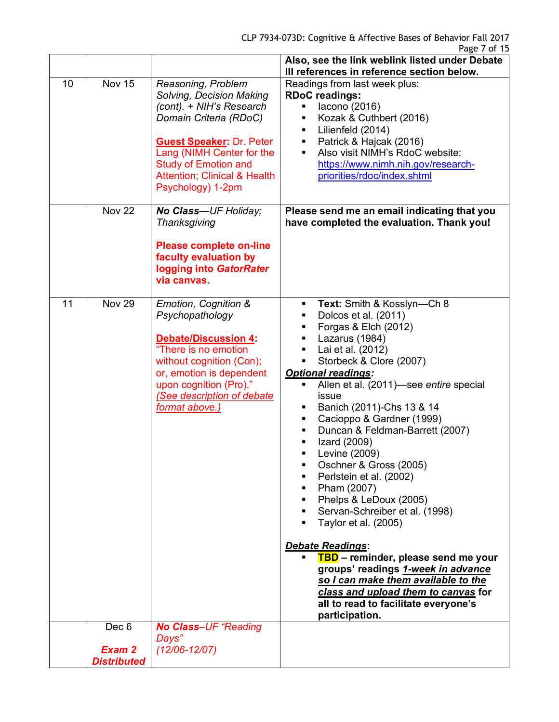|    |                              |                                                                                                                                                                                                                                                                     | Also, see the link weblink listed under Debate<br>III references in reference section below.                                                                                                                                                                                                                                                                                                                                                                                                                                                                                                                                                                                                                                                                                                                                             |
|----|------------------------------|---------------------------------------------------------------------------------------------------------------------------------------------------------------------------------------------------------------------------------------------------------------------|------------------------------------------------------------------------------------------------------------------------------------------------------------------------------------------------------------------------------------------------------------------------------------------------------------------------------------------------------------------------------------------------------------------------------------------------------------------------------------------------------------------------------------------------------------------------------------------------------------------------------------------------------------------------------------------------------------------------------------------------------------------------------------------------------------------------------------------|
| 10 | <b>Nov 15</b>                | Reasoning, Problem<br>Solving, Decision Making<br>(cont). + NIH's Research<br>Domain Criteria (RDoC)<br><b>Guest Speaker: Dr. Peter</b><br>Lang (NIMH Center for the<br><b>Study of Emotion and</b><br><b>Attention: Clinical &amp; Health</b><br>Psychology) 1-2pm | Readings from last week plus:<br><b>RDoC</b> readings:<br>lacono (2016)<br>٠<br>Kozak & Cuthbert (2016)<br>٠<br>Lilienfeld (2014)<br>٠<br>Patrick & Hajcak (2016)<br>٠<br>Also visit NIMH's RdoC website:<br>$\blacksquare$<br>https://www.nimh.nih.gov/research-<br>priorities/rdoc/index.shtml                                                                                                                                                                                                                                                                                                                                                                                                                                                                                                                                         |
|    | <b>Nov 22</b>                | No Class-UF Holiday;<br>Thanksgiving<br><b>Please complete on-line</b><br>faculty evaluation by<br>logging into GatorRater<br>via canvas.                                                                                                                           | Please send me an email indicating that you<br>have completed the evaluation. Thank you!                                                                                                                                                                                                                                                                                                                                                                                                                                                                                                                                                                                                                                                                                                                                                 |
| 11 | <b>Nov 29</b>                | Emotion, Cognition &<br>Psychopathology<br><b>Debate/Discussion 4:</b><br>"There is no emotion<br>without cognition (Con);<br>or, emotion is dependent<br>upon cognition (Pro)."<br>(See description of debate<br>format above.)                                    | Text: Smith & Kosslyn-Ch 8<br>٠<br>Dolcos et al. (2011)<br>٠<br>Forgas & Elch (2012)<br>Lazarus (1984)<br>٠<br>Lai et al. (2012)<br>٠<br>Storbeck & Clore (2007)<br>٠<br><b>Optional readings:</b><br>Allen et al. (2011)-see entire special<br>issue<br>Banich (2011)-Chs 13 & 14<br>٠<br>Cacioppo & Gardner (1999)<br>٠<br>Duncan & Feldman-Barrett (2007)<br>٠<br>Izard (2009)<br>Levine (2009)<br>Ξ<br>Oschner & Gross (2005)<br>٠<br>Perlstein et al. (2002)<br>٠<br>Pham (2007)<br>٠<br>Phelps & LeDoux (2005)<br>٠<br>Servan-Schreiber et al. (1998)<br>٠<br>Taylor et al. (2005)<br><b>Debate Readings:</b><br>TBD - reminder, please send me your<br>groups' readings 1-week in advance<br>so I can make them available to the<br>class and upload them to canvas for<br>all to read to facilitate everyone's<br>participation. |
|    | Dec 6                        | <b>No Class-UF "Reading</b><br>Days"                                                                                                                                                                                                                                |                                                                                                                                                                                                                                                                                                                                                                                                                                                                                                                                                                                                                                                                                                                                                                                                                                          |
|    | Exam 2<br><b>Distributed</b> | $(12/06 - 12/07)$                                                                                                                                                                                                                                                   |                                                                                                                                                                                                                                                                                                                                                                                                                                                                                                                                                                                                                                                                                                                                                                                                                                          |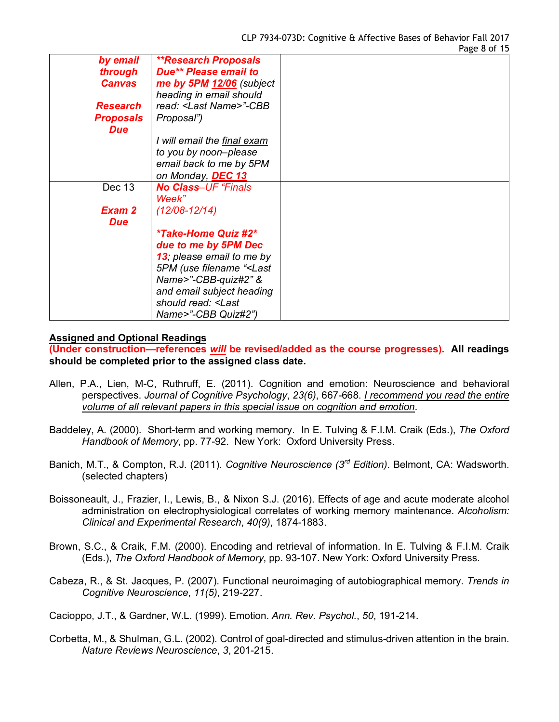| by email         | <b>**Research Proposals</b>                        |  |
|------------------|----------------------------------------------------|--|
| through          | Due** Please email to                              |  |
| <b>Canvas</b>    | me by 5PM 12/06 (subject                           |  |
|                  | heading in email should                            |  |
| <b>Research</b>  | read: <last name="">"-CBB</last>                   |  |
| <b>Proposals</b> | Proposal")                                         |  |
| <b>Due</b>       |                                                    |  |
|                  | I will email the final exam                        |  |
|                  | to you by noon-please                              |  |
|                  | email back to me by 5PM                            |  |
|                  | on Monday, DEC 13                                  |  |
| Dec 13           | <b>No Class-UF "Finals</b>                         |  |
|                  | Week"                                              |  |
| Exam 2           |                                                    |  |
|                  | $(12/08 - 12/14)$                                  |  |
| <b>Due</b>       |                                                    |  |
|                  | <i><b>*Take-Home Quiz #2*</b></i>                  |  |
|                  | due to me by 5PM Dec                               |  |
|                  | 13; please email to me by                          |  |
|                  | 5PM (use filename " <last< th=""><th></th></last<> |  |
|                  | Name>"-CBB-quiz#2" &                               |  |
|                  | and email subject heading                          |  |
|                  | should read: <last< th=""><th></th></last<>        |  |
|                  | Name>"-CBB Quiz#2")                                |  |

#### **Assigned and Optional Readings**

**(Under construction—references** *will* **be revised/added as the course progresses). All readings should be completed prior to the assigned class date.**

- Allen, P.A., Lien, M-C, Ruthruff, E. (2011). Cognition and emotion: Neuroscience and behavioral perspectives. *Journal of Cognitive Psychology*, *23(6)*, 667-668. *I recommend you read the entire volume of all relevant papers in this special issue on cognition and emotion*.
- Baddeley, A. (2000). Short-term and working memory. In E. Tulving & F.I.M. Craik (Eds.), *The Oxford Handbook of Memory*, pp. 77-92. New York: Oxford University Press.
- Banich, M.T., & Compton, R.J. (2011). *Cognitive Neuroscience (3rd Edition)*. Belmont, CA: Wadsworth. (selected chapters)
- Boissoneault, J., Frazier, I., Lewis, B., & Nixon S.J. (2016). Effects of age and acute moderate alcohol administration on electrophysiological correlates of working memory maintenance. *Alcoholism: Clinical and Experimental Research*, *40(9)*, 1874-1883.
- Brown, S.C., & Craik, F.M. (2000). Encoding and retrieval of information. In E. Tulving & F.I.M. Craik (Eds.), *The Oxford Handbook of Memory*, pp. 93-107. New York: Oxford University Press.
- Cabeza, R., & St. Jacques, P. (2007). Functional neuroimaging of autobiographical memory. *Trends in Cognitive Neuroscience*, *11(5)*, 219-227.

Cacioppo, J.T., & Gardner, W.L. (1999). Emotion. *Ann. Rev. Psychol.*, *50*, 191-214.

Corbetta, M., & Shulman, G.L. (2002). Control of goal-directed and stimulus-driven attention in the brain. *Nature Reviews Neuroscience*, *3*, 201-215.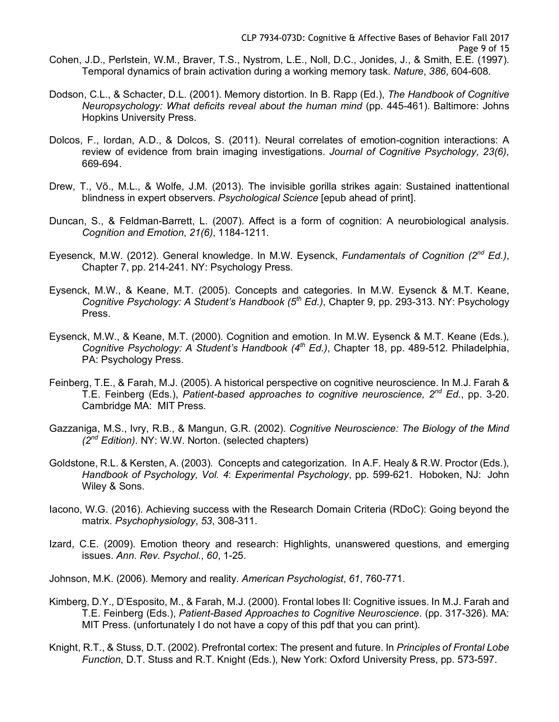- Dodson, C.L., & Schacter, D.L. (2001). Memory distortion. In B. Rapp (Ed.), *The Handbook of Cognitive Neuropsychology: What deficits reveal about the human mind* (pp. 445-461). Baltimore: Johns Hopkins University Press.
- Dolcos, F., Iordan, A.D., & Dolcos, S. (2011). Neural correlates of emotion-cognition interactions: A review of evidence from brain imaging investigations. *Journal of Cognitive Psychology*, *23(6)*, 669-694.
- Drew, T., Võ., M.L., & Wolfe, J.M. (2013). The invisible gorilla strikes again: Sustained inattentional blindness in expert observers. *Psychological Science* [epub ahead of print].
- Duncan, S., & Feldman-Barrett, L. (2007). Affect is a form of cognition: A neurobiological analysis. *Cognition and Emotion*, *21(6)*, 1184-1211.
- Eyesenck, M.W. (2012). General knowledge. In M.W. Eysenck, *Fundamentals of Cognition (2nd Ed.)*, Chapter 7, pp. 214-241. NY: Psychology Press.
- Eysenck, M.W., & Keane, M.T. (2005). Concepts and categories. In M.W. Eysenck & M.T. Keane, *Cognitive Psychology: A Student's Handbook (5th Ed.)*, Chapter 9, pp. 293-313. NY: Psychology Press.
- Eysenck, M.W., & Keane, M.T. (2000). Cognition and emotion. In M.W. Eysenck & M.T. Keane (Eds.), *Cognitive Psychology: A Student's Handbook (4th Ed.)*, Chapter 18, pp. 489-512. Philadelphia, PA: Psychology Press.
- Feinberg, T.E., & Farah, M.J. (2005). A historical perspective on cognitive neuroscience. In M.J. Farah & T.E. Feinberg (Eds.), *Patient-based approaches to cognitive neuroscience, 2nd Ed.*, pp. 3-20. Cambridge MA: MIT Press.
- Gazzaniga, M.S., Ivry, R.B., & Mangun, G.R. (2002). *Cognitive Neuroscience: The Biology of the Mind (2nd Edition)*. NY: W.W. Norton. (selected chapters)
- Goldstone, R.L. & Kersten, A. (2003). Concepts and categorization. In A.F. Healy & R.W. Proctor (Eds.), *Handbook of Psychology, Vol. 4*: *Experimental Psychology*, pp. 599-621. Hoboken, NJ: John Wiley & Sons.
- Iacono, W.G. (2016). Achieving success with the Research Domain Criteria (RDoC): Going beyond the matrix. *Psychophysiology*, *53*, 308-311.
- Izard, C.E. (2009). Emotion theory and research: Highlights, unanswered questions, and emerging issues. *Ann. Rev. Psychol.*, *60*, 1-25.
- Johnson, M.K. (2006). Memory and reality. *American Psychologist*, *61*, 760-771.
- Kimberg, D.Y., D'Esposito, M., & Farah, M.J. (2000). Frontal lobes II: Cognitive issues. In M.J. Farah and T.E. Feinberg (Eds.), *Patient-Based Approaches to Cognitive Neuroscience*. (pp. 317-326). MA: MIT Press. (unfortunately I do not have a copy of this pdf that you can print).
- Knight, R.T., & Stuss, D.T. (2002). Prefrontal cortex: The present and future. In *Principles of Frontal Lobe Function*, D.T. Stuss and R.T. Knight (Eds.), New York: Oxford University Press, pp. 573-597.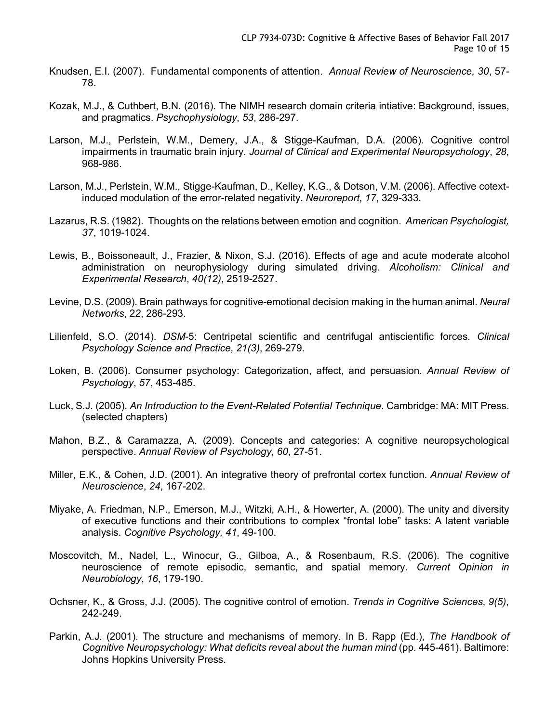- Knudsen, E.I. (2007). Fundamental components of attention. *Annual Review of Neuroscience, 30*, 57- 78.
- Kozak, M.J., & Cuthbert, B.N. (2016). The NIMH research domain criteria intiative: Background, issues, and pragmatics. *Psychophysiology*, *53*, 286-297.
- Larson, M.J., Perlstein, W.M., Demery, J.A., & Stigge-Kaufman, D.A. (2006). Cognitive control impairments in traumatic brain injury. *Journal of Clinical and Experimental Neuropsychology*, *28*, 968-986.
- Larson, M.J., Perlstein, W.M., Stigge-Kaufman, D., Kelley, K.G., & Dotson, V.M. (2006). Affective cotextinduced modulation of the error-related negativity. *Neuroreport*, *17*, 329-333.
- Lazarus, R.S. (1982). Thoughts on the relations between emotion and cognition. *American Psychologist, 37*, 1019-1024.
- Lewis, B., Boissoneault, J., Frazier, & Nixon, S.J. (2016). Effects of age and acute moderate alcohol administration on neurophysiology during simulated driving. *Alcoholism: Clinical and Experimental Research*, *40(12)*, 2519-2527.
- Levine, D.S. (2009). Brain pathways for cognitive-emotional decision making in the human animal. *Neural Networks*, 2*2*, 286-293.
- Lilienfeld, S.O. (2014). *DSM*-5: Centripetal scientific and centrifugal antiscientific forces. *Clinical Psychology Science and Practice*, *21(3)*, 269-279.
- Loken, B. (2006). Consumer psychology: Categorization, affect, and persuasion. *Annual Review of Psychology*, *57*, 453-485.
- Luck, S.J. (2005). *An Introduction to the Event-Related Potential Technique*. Cambridge: MA: MIT Press. (selected chapters)
- Mahon, B.Z., & Caramazza, A. (2009). Concepts and categories: A cognitive neuropsychological perspective. *Annual Review of Psychology*, *60*, 27-51.
- Miller, E.K., & Cohen, J.D. (2001). An integrative theory of prefrontal cortex function. *Annual Review of Neuroscience*, *24*, 167-202.
- Miyake, A. Friedman, N.P., Emerson, M.J., Witzki, A.H., & Howerter, A. (2000). The unity and diversity of executive functions and their contributions to complex "frontal lobe" tasks: A latent variable analysis. *Cognitive Psychology, 41*, 49-100.
- Moscovitch, M., Nadel, L., Winocur, G., Gilboa, A., & Rosenbaum, R.S. (2006). The cognitive neuroscience of remote episodic, semantic, and spatial memory. *Current Opinion in Neurobiology*, *16*, 179-190.
- Ochsner, K., & Gross, J.J. (2005). The cognitive control of emotion. *Trends in Cognitive Sciences*, *9(5)*, 242-249.
- Parkin, A.J. (2001). The structure and mechanisms of memory. In B. Rapp (Ed.), *The Handbook of Cognitive Neuropsychology: What deficits reveal about the human mind* (pp. 445-461). Baltimore: Johns Hopkins University Press.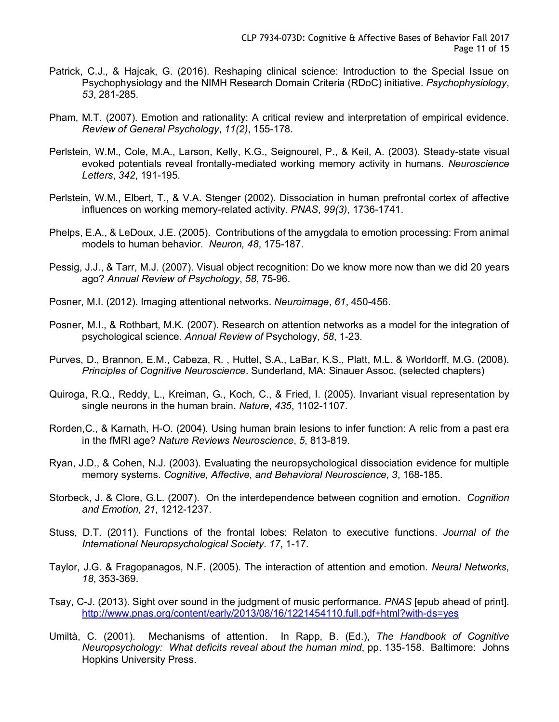- Patrick, C.J., & Hajcak, G. (2016). Reshaping clinical science: Introduction to the Special Issue on Psychophysiology and the NIMH Research Domain Criteria (RDoC) initiative. *Psychophysiology*, *53*, 281-285.
- Pham, M.T. (2007). Emotion and rationality: A critical review and interpretation of empirical evidence. *Review of General Psychology*, *11(2)*, 155-178.
- Perlstein, W.M., Cole, M.A., Larson, Kelly, K.G., Seignourel, P., & Keil, A. (2003). Steady-state visual evoked potentials reveal frontally-mediated working memory activity in humans. *Neuroscience Letters*, *342*, 191-195.
- Perlstein, W.M., Elbert, T., & V.A. Stenger (2002). Dissociation in human prefrontal cortex of affective influences on working memory-related activity. *PNAS*, *99(3)*, 1736-1741.
- Phelps, E.A., & LeDoux, J.E. (2005). Contributions of the amygdala to emotion processing: From animal models to human behavior. *Neuron, 48*, 175-187.
- Pessig, J.J., & Tarr, M.J. (2007). Visual object recognition: Do we know more now than we did 20 years ago? *Annual Review of Psychology*, *58*, 75-96.
- Posner, M.I. (2012). Imaging attentional networks. *Neuroimage*, *61*, 450-456.
- Posner, M.I., & Rothbart, M.K. (2007). Research on attention networks as a model for the integration of psychological science. *Annual Review of* Psychology, *58*, 1-23.
- Purves, D., Brannon, E.M., Cabeza, R. , Huttel, S.A., LaBar, K.S., Platt, M.L. & Worldorff, M.G. (2008). *Principles of Cognitive Neuroscience*. Sunderland, MA: Sinauer Assoc. (selected chapters)
- Quiroga, R.Q., Reddy, L., Kreiman, G., Koch, C., & Fried, I. (2005). Invariant visual representation by single neurons in the human brain. *Nature*, *435*, 1102-1107.
- Rorden,C., & Karnath, H-O. (2004). Using human brain lesions to infer function: A relic from a past era in the fMRI age? *Nature Reviews Neuroscience*, *5*, 813-819.
- Ryan, J.D., & Cohen, N.J. (2003). Evaluating the neuropsychological dissociation evidence for multiple memory systems. *Cognitive, Affective, and Behavioral Neuroscience*, *3*, 168-185.
- Storbeck, J. & Clore, G.L. (2007). On the interdependence between cognition and emotion. *Cognition and Emotion, 21*, 1212-1237.
- Stuss, D.T. (2011). Functions of the frontal lobes: Relaton to executive functions. *Journal of the International Neuropsychological Society*. *17*, 1-17.
- Taylor, J.G. & Fragopanagos, N.F. (2005). The interaction of attention and emotion. *Neural Networks*, *18*, 353-369.
- Tsay, C-J. (2013). Sight over sound in the judgment of music performance. *PNAS* [epub ahead of print]. http://www.pnas.org/content/early/2013/08/16/1221454110.full.pdf+html?with-ds=yes
- Umiltà, C. (2001). Mechanisms of attention. In Rapp, B. (Ed.), *The Handbook of Cognitive Neuropsychology: What deficits reveal about the human mind*, pp. 135-158. Baltimore: Johns Hopkins University Press.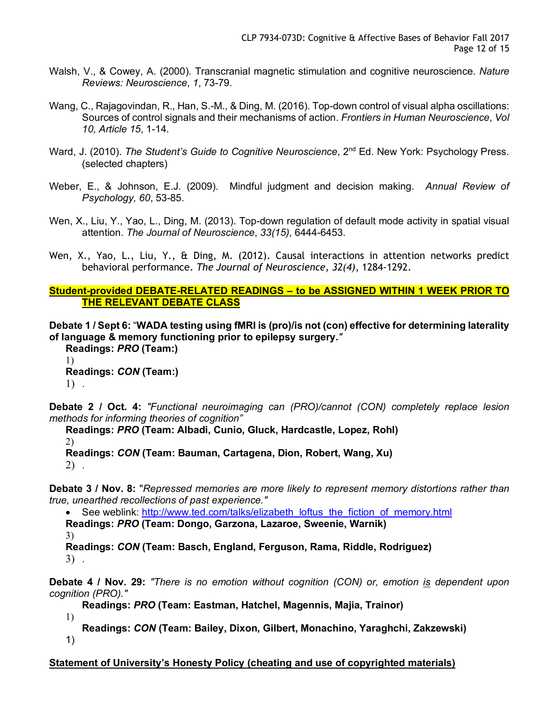- Walsh, V., & Cowey, A. (2000). Transcranial magnetic stimulation and cognitive neuroscience. *Nature Reviews: Neuroscience*, *1*, 73-79.
- Wang, C., Rajagovindan, R., Han, S.-M., & Ding, M. (2016). Top-down control of visual alpha oscillations: Sources of control signals and their mechanisms of action. *Frontiers in Human Neuroscience*, *Vol 10, Article 15*, 1-14.
- Ward, J. (2010). *The Student's Guide to Cognitive Neuroscience*, 2<sup>nd</sup> Ed. New York: Psychology Press. (selected chapters)
- Weber, E., & Johnson, E.J. (2009). Mindful judgment and decision making. *Annual Review of Psychology, 60*, 53-85.
- Wen, X., Liu, Y., Yao, L., Ding, M. (2013). Top-down regulation of default mode activity in spatial visual attention. *The Journal of Neuroscience*, *33(15)*, 6444-6453.
- Wen, X., Yao, L., Liu, Y., & Ding, M. (2012). Causal interactions in attention networks predict behavioral performance. *The Journal of Neuroscience*, *32(4)*, 1284-1292.

```
Student-provided DEBATE-RELATED READINGS – to be ASSIGNED WITHIN 1 WEEK PRIOR TO 
THE RELEVANT DEBATE CLASS
```
**Debate 1 / Sept 6:** "**WADA testing using fMRI is (pro)/is not (con) effective for determining laterality of language & memory functioning prior to epilepsy surgery.***"*

**Readings:** *PRO* **(Team:)** 1) **Readings:** *CON* **(Team:)** 1) .

**Debate 2 / Oct. 4:** *"Functional neuroimaging can (PRO)/cannot (CON) completely replace lesion methods for informing theories of cognition"*

**Readings:** *PRO* **(Team: Albadi, Cunio, Gluck, Hardcastle, Lopez, Rohl)** 2) **Readings:** *CON* **(Team: Bauman, Cartagena, Dion, Robert, Wang, Xu)**

2) .

**Debate 3 / Nov. 8:** "*Repressed memories are more likely to represent memory distortions rather than true, unearthed recollections of past experience."*

• See weblink: http://www.ted.com/talks/elizabeth\_loftus\_the\_fiction\_of\_memory.html **Readings:** *PRO* **(Team: Dongo, Garzona, Lazaroe, Sweenie, Warnik)** 3)

**Readings:** *CON* **(Team: Basch, England, Ferguson, Rama, Riddle, Rodriguez)** 3) .

**Debate 4 / Nov. 29:** *"There is no emotion without cognition (CON) or, emotion is dependent upon cognition (PRO)."*

**Readings:** *PRO* **(Team: Eastman, Hatchel, Magennis, Majia, Trainor)**

1) **Readings:** *CON* **(Team: Bailey, Dixon, Gilbert, Monachino, Yaraghchi, Zakzewski)** 1)

**Statement of University's Honesty Policy (cheating and use of copyrighted materials)**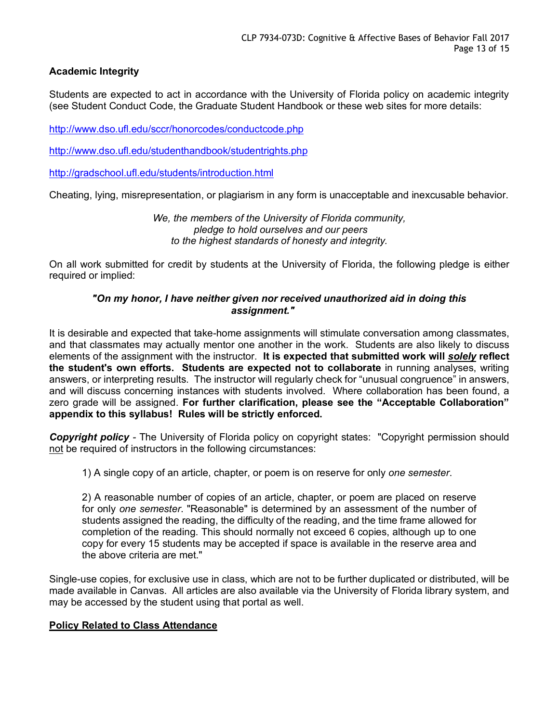# **Academic Integrity**

Students are expected to act in accordance with the University of Florida policy on academic integrity (see Student Conduct Code, the Graduate Student Handbook or these web sites for more details:

http://www.dso.ufl.edu/sccr/honorcodes/conductcode.php

http://www.dso.ufl.edu/studenthandbook/studentrights.php

http://gradschool.ufl.edu/students/introduction.html

Cheating, lying, misrepresentation, or plagiarism in any form is unacceptable and inexcusable behavior.

*We, the members of the University of Florida community, pledge to hold ourselves and our peers to the highest standards of honesty and integrity.*

On all work submitted for credit by students at the University of Florida, the following pledge is either required or implied:

### *"On my honor, I have neither given nor received unauthorized aid in doing this assignment."*

It is desirable and expected that take-home assignments will stimulate conversation among classmates, and that classmates may actually mentor one another in the work. Students are also likely to discuss elements of the assignment with the instructor. **It is expected that submitted work will** *solely* **reflect the student's own efforts. Students are expected not to collaborate** in running analyses, writing answers, or interpreting results. The instructor will regularly check for "unusual congruence" in answers, and will discuss concerning instances with students involved. Where collaboration has been found, a zero grade will be assigned. **For further clarification, please see the "Acceptable Collaboration" appendix to this syllabus! Rules will be strictly enforced.**

*Copyright policy -* The University of Florida policy on copyright states: "Copyright permission should not be required of instructors in the following circumstances:

1) A single copy of an article, chapter, or poem is on reserve for only *one semester*.

2) A reasonable number of copies of an article, chapter, or poem are placed on reserve for only *one semester*. "Reasonable" is determined by an assessment of the number of students assigned the reading, the difficulty of the reading, and the time frame allowed for completion of the reading. This should normally not exceed 6 copies, although up to one copy for every 15 students may be accepted if space is available in the reserve area and the above criteria are met."

Single-use copies, for exclusive use in class, which are not to be further duplicated or distributed, will be made available in Canvas. All articles are also available via the University of Florida library system, and may be accessed by the student using that portal as well.

#### **Policy Related to Class Attendance**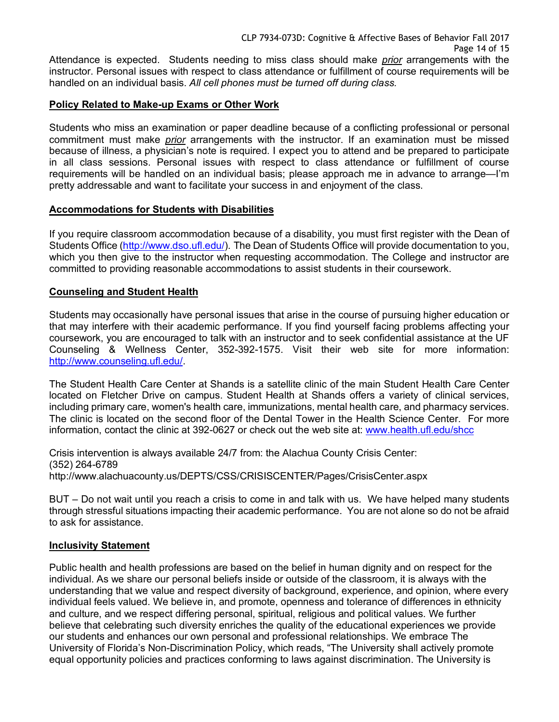Attendance is expected. Students needing to miss class should make *prior* arrangements with the instructor. Personal issues with respect to class attendance or fulfillment of course requirements will be handled on an individual basis. *All cell phones must be turned off during class.*

### **Policy Related to Make-up Exams or Other Work**

Students who miss an examination or paper deadline because of a conflicting professional or personal commitment must make *prior* arrangements with the instructor. If an examination must be missed because of illness, a physician's note is required. I expect you to attend and be prepared to participate in all class sessions. Personal issues with respect to class attendance or fulfillment of course requirements will be handled on an individual basis; please approach me in advance to arrange—I'm pretty addressable and want to facilitate your success in and enjoyment of the class.

#### **Accommodations for Students with Disabilities**

If you require classroom accommodation because of a disability, you must first register with the Dean of Students Office (http://www.dso.ufl.edu/). The Dean of Students Office will provide documentation to you, which you then give to the instructor when requesting accommodation. The College and instructor are committed to providing reasonable accommodations to assist students in their coursework.

#### **Counseling and Student Health**

Students may occasionally have personal issues that arise in the course of pursuing higher education or that may interfere with their academic performance. If you find yourself facing problems affecting your coursework, you are encouraged to talk with an instructor and to seek confidential assistance at the UF Counseling & Wellness Center, 352-392-1575. Visit their web site for more information: http://www.counseling.ufl.edu/.

The Student Health Care Center at Shands is a satellite clinic of the main Student Health Care Center located on Fletcher Drive on campus. Student Health at Shands offers a variety of clinical services, including primary care, women's health care, immunizations, mental health care, and pharmacy services. The clinic is located on the second floor of the Dental Tower in the Health Science Center. For more information, contact the clinic at 392-0627 or check out the web site at: www.health.ufl.edu/shcc

Crisis intervention is always available 24/7 from: the Alachua County Crisis Center: (352) 264-6789 http://www.alachuacounty.us/DEPTS/CSS/CRISISCENTER/Pages/CrisisCenter.aspx

BUT – Do not wait until you reach a crisis to come in and talk with us. We have helped many students through stressful situations impacting their academic performance. You are not alone so do not be afraid to ask for assistance.

#### **Inclusivity Statement**

Public health and health professions are based on the belief in human dignity and on respect for the individual. As we share our personal beliefs inside or outside of the classroom, it is always with the understanding that we value and respect diversity of background, experience, and opinion, where every individual feels valued. We believe in, and promote, openness and tolerance of differences in ethnicity and culture, and we respect differing personal, spiritual, religious and political values. We further believe that celebrating such diversity enriches the quality of the educational experiences we provide our students and enhances our own personal and professional relationships. We embrace The University of Florida's Non-Discrimination Policy, which reads, "The University shall actively promote equal opportunity policies and practices conforming to laws against discrimination. The University is